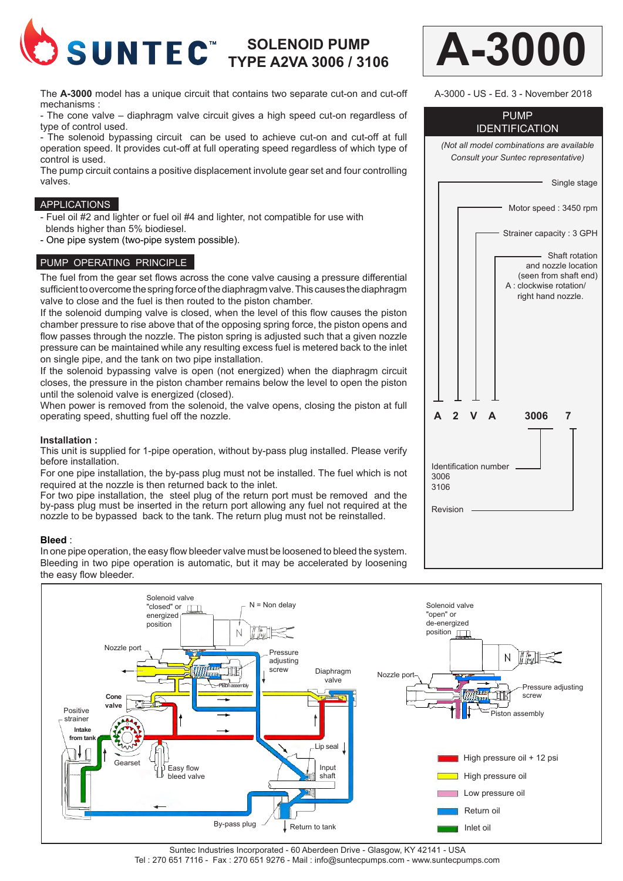

# **SOLENOID PUMP TYPE A2VA 3006 / 3106**

The **A-3000** model has a unique circuit that contains two separate cut-on and cut-off mechanisms :

- The cone valve – diaphragm valve circuit gives a high speed cut-on regardless of type of control used.

- The solenoid bypassing circuit can be used to achieve cut-on and cut-off at full operation speed. It provides cut-off at full operating speed regardless of which type of control is used.

The pump circuit contains a positive displacement involute gear set and four controlling valves.

#### APPLICATIONS

- Fuel oil #2 and lighter or fuel oil #4 and lighter, not compatible for use with blends higher than 5% biodiesel.

- One pipe system (two-pipe system possible).

#### PUMP OPERATING PRINCIPLE

The fuel from the gear set flows across the cone valve causing a pressure differential sufficient to overcome the spring force of the diaphragm valve. This causes the diaphragm valve to close and the fuel is then routed to the piston chamber.

If the solenoid dumping valve is closed, when the level of this flow causes the piston chamber pressure to rise above that of the opposing spring force, the piston opens and flow passes through the nozzle. The piston spring is adjusted such that a given nozzle pressure can be maintained while any resulting excess fuel is metered back to the inlet on single pipe, and the tank on two pipe installation.

If the solenoid bypassing valve is open (not energized) when the diaphragm circuit closes, the pressure in the piston chamber remains below the level to open the piston until the solenoid valve is energized (closed).

When power is removed from the solenoid, the valve opens, closing the piston at full operating speed, shutting fuel off the nozzle.

#### **Installation :**

This unit is supplied for 1-pipe operation, without by-pass plug installed. Please verify before installation.

For one pipe installation, the by-pass plug must not be installed. The fuel which is not required at the nozzle is then returned back to the inlet.

For two pipe installation, the steel plug of the return port must be removed and the by-pass plug must be inserted in the return port allowing any fuel not required at the nozzle to be bypassed back to the tank. The return plug must not be reinstalled.

#### **Bleed** :

In one pipe operation, the easy flow bleeder valve must be loosened to bleed the system. Bleeding in two pipe operation is automatic, but it may be accelerated by loosening the easy flow bleeder.



Suntec Industries Incorporated - 60 Aberdeen Drive - Glasgow, KY 42141 - USA Tel : 270 651 7116 - Fax : 270 651 9276 - Mail : info@suntecpumps.com - www.suntecpumps.com



A-3000 - US - Ed. 3 - November 2018

## PUMP IDENTIFICATION

*(Not all model combinations are available Consult your Suntec representative)*

 **A 2 V A 3006 7**

Identification number

3006 3106

Revision

Single stage

Shaft rotation and nozzle location (seen from shaft end) A : clockwise rotation/ right hand nozzle.

Motor speed : 3450 rpm

Strainer capacity : 3 GPH